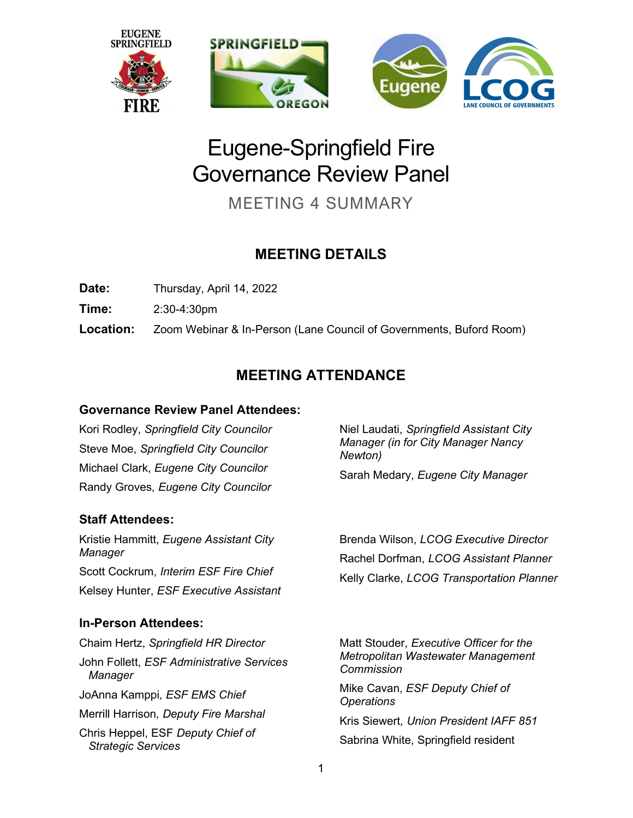

# Eugene-Springfield Fire Governance Review Panel

MEETING 4 SUMMARY

# MEETING DETAILS

Date: Thursday, April 14, 2022

Time: 2:30-4:30pm

Location: Zoom Webinar & In-Person (Lane Council of Governments, Buford Room)

# MEETING ATTENDANCE

### Governance Review Panel Attendees:

Kori Rodley, Springfield City Councilor Steve Moe, Springfield City Councilor Michael Clark, Eugene City Councilor Randy Groves, Eugene City Councilor

### Staff Attendees:

Kristie Hammitt, Eugene Assistant City **Manager** Scott Cockrum, Interim ESF Fire Chief Kelsey Hunter, ESF Executive Assistant

### In-Person Attendees:

Chaim Hertz, Springfield HR Director John Follett, ESF Administrative Services **Manager** JoAnna Kamppi, ESF EMS Chief Merrill Harrison, Deputy Fire Marshal Chris Heppel, ESF Deputy Chief of Strategic Services

Niel Laudati, Springfield Assistant City Manager (in for City Manager Nancy Newton)

Sarah Medary, Eugene City Manager

Brenda Wilson, LCOG Executive Director Rachel Dorfman, LCOG Assistant Planner Kelly Clarke, LCOG Transportation Planner

Matt Stouder, Executive Officer for the Metropolitan Wastewater Management Commission

Mike Cavan, ESF Deputy Chief of **Operations** 

Kris Siewert, Union President IAFF 851 Sabrina White, Springfield resident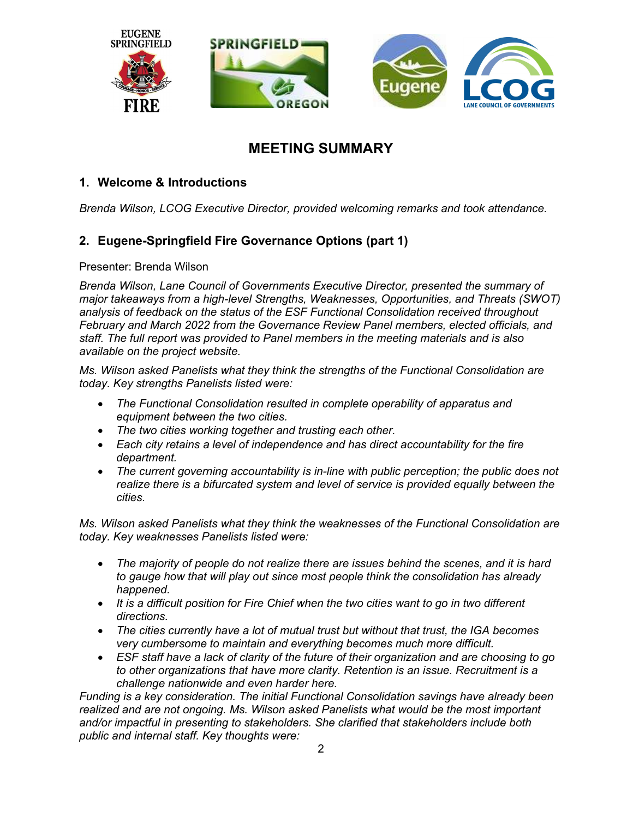

### MEETING SUMMARY

### 1. Welcome & Introductions

Brenda Wilson, LCOG Executive Director, provided welcoming remarks and took attendance.

### 2. Eugene-Springfield Fire Governance Options (part 1)

Presenter: Brenda Wilson

Brenda Wilson, Lane Council of Governments Executive Director, presented the summary of major takeaways from a high-level Strengths, Weaknesses, Opportunities, and Threats (SWOT) analysis of feedback on the status of the ESF Functional Consolidation received throughout February and March 2022 from the Governance Review Panel members, elected officials, and staff. The full report was provided to Panel members in the meeting materials and is also available on the project website.

Ms. Wilson asked Panelists what they think the strengths of the Functional Consolidation are today. Key strengths Panelists listed were:

- The Functional Consolidation resulted in complete operability of apparatus and equipment between the two cities.
- The two cities working together and trusting each other.
- Each city retains a level of independence and has direct accountability for the fire department.
- The current governing accountability is in-line with public perception; the public does not realize there is a bifurcated system and level of service is provided equally between the cities.

Ms. Wilson asked Panelists what they think the weaknesses of the Functional Consolidation are today. Key weaknesses Panelists listed were:

- The majority of people do not realize there are issues behind the scenes, and it is hard to gauge how that will play out since most people think the consolidation has already happened.
- It is a difficult position for Fire Chief when the two cities want to go in two different directions.
- The cities currently have a lot of mutual trust but without that trust, the IGA becomes very cumbersome to maintain and everything becomes much more difficult.
- ESF staff have a lack of clarity of the future of their organization and are choosing to go to other organizations that have more clarity. Retention is an issue. Recruitment is a challenge nationwide and even harder here.

Funding is a key consideration. The initial Functional Consolidation savings have already been realized and are not ongoing. Ms. Wilson asked Panelists what would be the most important and/or impactful in presenting to stakeholders. She clarified that stakeholders include both public and internal staff. Key thoughts were: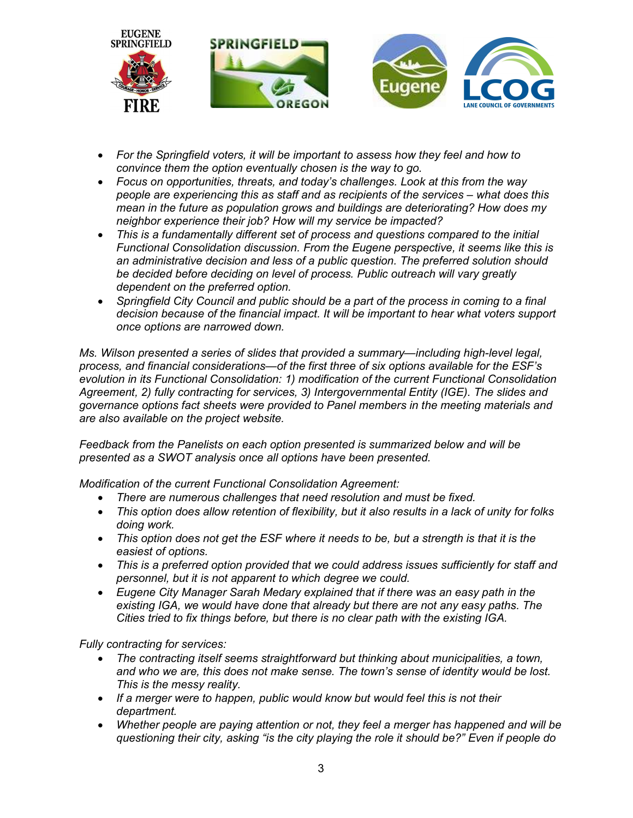

- For the Springfield voters, it will be important to assess how they feel and how to convince them the option eventually chosen is the way to go.
- Focus on opportunities, threats, and today's challenges. Look at this from the way people are experiencing this as staff and as recipients of the services – what does this mean in the future as population grows and buildings are deteriorating? How does my neighbor experience their job? How will my service be impacted?
- This is a fundamentally different set of process and questions compared to the initial Functional Consolidation discussion. From the Eugene perspective, it seems like this is an administrative decision and less of a public question. The preferred solution should be decided before deciding on level of process. Public outreach will vary greatly dependent on the preferred option.
- Springfield City Council and public should be a part of the process in coming to a final decision because of the financial impact. It will be important to hear what voters support once options are narrowed down.

Ms. Wilson presented a series of slides that provided a summary—including high-level legal, process, and financial considerations—of the first three of six options available for the ESF's evolution in its Functional Consolidation: 1) modification of the current Functional Consolidation Agreement, 2) fully contracting for services, 3) Intergovernmental Entity (IGE). The slides and governance options fact sheets were provided to Panel members in the meeting materials and are also available on the project website.

Feedback from the Panelists on each option presented is summarized below and will be presented as a SWOT analysis once all options have been presented.

Modification of the current Functional Consolidation Agreement:

- There are numerous challenges that need resolution and must be fixed.
- This option does allow retention of flexibility, but it also results in a lack of unity for folks doing work.
- This option does not get the ESF where it needs to be, but a strength is that it is the easiest of options.
- This is a preferred option provided that we could address issues sufficiently for staff and personnel, but it is not apparent to which degree we could.
- Eugene City Manager Sarah Medary explained that if there was an easy path in the existing IGA, we would have done that already but there are not any easy paths. The Cities tried to fix things before, but there is no clear path with the existing IGA.

Fully contracting for services:

- The contracting itself seems straightforward but thinking about municipalities, a town, and who we are, this does not make sense. The town's sense of identity would be lost. This is the messy reality.
- If a merger were to happen, public would know but would feel this is not their department.
- Whether people are paying attention or not, they feel a merger has happened and will be questioning their city, asking "is the city playing the role it should be?" Even if people do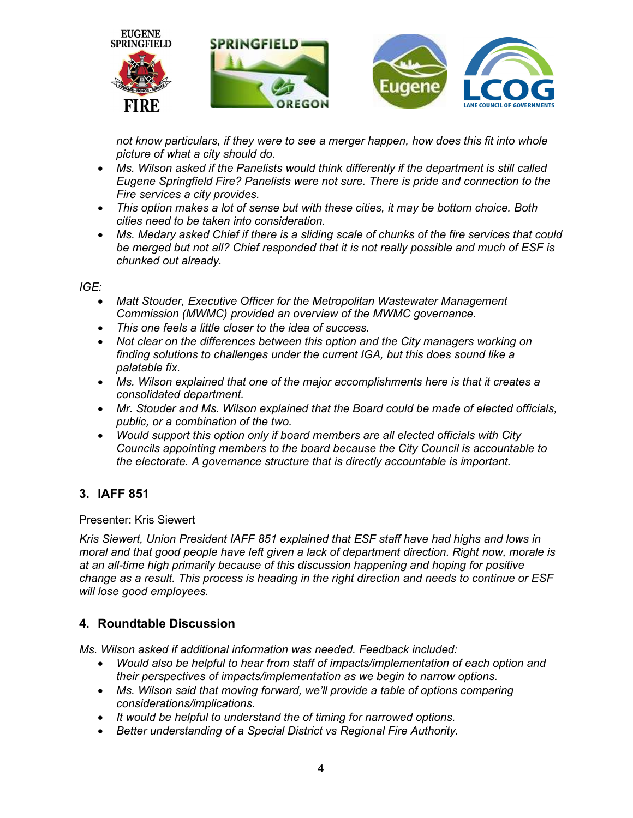

not know particulars, if they were to see a merger happen, how does this fit into whole picture of what a city should do.

- Ms. Wilson asked if the Panelists would think differently if the department is still called Eugene Springfield Fire? Panelists were not sure. There is pride and connection to the Fire services a city provides.
- This option makes a lot of sense but with these cities, it may be bottom choice. Both cities need to be taken into consideration.
- Ms. Medary asked Chief if there is a sliding scale of chunks of the fire services that could be merged but not all? Chief responded that it is not really possible and much of ESF is chunked out already.

IGE:

- Matt Stouder, Executive Officer for the Metropolitan Wastewater Management Commission (MWMC) provided an overview of the MWMC governance.
- This one feels a little closer to the idea of success.
- Not clear on the differences between this option and the City managers working on finding solutions to challenges under the current IGA, but this does sound like a palatable fix.
- Ms. Wilson explained that one of the major accomplishments here is that it creates a consolidated department.
- Mr. Stouder and Ms. Wilson explained that the Board could be made of elected officials, public, or a combination of the two.
- Would support this option only if board members are all elected officials with City Councils appointing members to the board because the City Council is accountable to the electorate. A governance structure that is directly accountable is important.

### 3. IAFF 851

#### Presenter: Kris Siewert

Kris Siewert, Union President IAFF 851 explained that ESF staff have had highs and lows in moral and that good people have left given a lack of department direction. Right now, morale is at an all-time high primarily because of this discussion happening and hoping for positive change as a result. This process is heading in the right direction and needs to continue or ESF will lose good employees.

### 4. Roundtable Discussion

Ms. Wilson asked if additional information was needed. Feedback included:

- Would also be helpful to hear from staff of impacts/implementation of each option and their perspectives of impacts/implementation as we begin to narrow options.
- Ms. Wilson said that moving forward, we'll provide a table of options comparing considerations/implications.
- It would be helpful to understand the of timing for narrowed options.
- Better understanding of a Special District vs Regional Fire Authority.